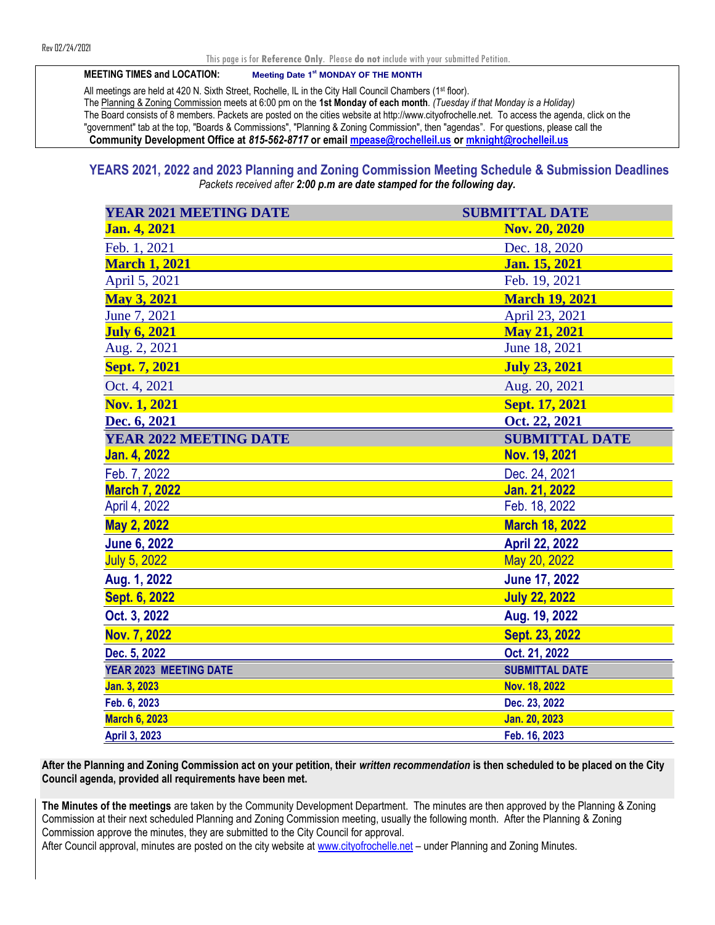#### This page is for **Reference Only**. Please **do not** include with your submitted Petition.

**MEETING TIMES and LOCATION: Meeting Date 1st MONDAY OF THE MONTH**

All meetings are held at 420 N. Sixth Street, Rochelle, IL in the City Hall Council Chambers (1st floor). The Planning & Zoning Commission meets at 6:00 pm on the **1st Monday of each month***. (Tuesday if that Monday is a Holiday)*  The Board consists of 8 members. Packets are posted on the cities website at http://www.cityofrochelle.net. To access the agenda, click on the "government" tab at the top, "Boards & Commissions", "Planning & Zoning Commission", then "agendas". For questions, please call the **Community Development Office at** *815-562-8717* **or email [mpease@rochelleil.us](mailto:mpease@rochelleil.us) or [mknight@rochelleil.us](mailto:mknight@rochelleil.us)** 

 **YEARS 2021, 2022 and 2023 Planning and Zoning Commission Meeting Schedule & Submission Deadlines** *Packets received after 2:00 p.m are date stamped for the following day.*

| <b>YEAR 2021 MEETING DATE</b> | <b>SUBMITTAL DATE</b> |
|-------------------------------|-----------------------|
| <b>Jan. 4, 2021</b>           | Nov. 20, 2020         |
| Feb. 1, 2021                  | Dec. 18, 2020         |
| <b>March 1, 2021</b>          | Jan. 15, 2021         |
| April 5, 2021                 | Feb. 19, 2021         |
| <b>May 3, 2021</b>            | <b>March 19, 2021</b> |
| June 7, 2021                  | April 23, 2021        |
| <b>July 6, 2021</b>           | <b>May 21, 2021</b>   |
| Aug. 2, 2021                  | June 18, 2021         |
| Sept. 7, 2021                 | <b>July 23, 2021</b>  |
| Oct. 4, 2021                  | Aug. 20, 2021         |
| <b>Nov. 1, 2021</b>           | Sept. 17, 2021        |
| Dec. 6, 2021                  | Oct. 22, 2021         |
| <b>YEAR 2022 MEETING DATE</b> | <b>SUBMITTAL DATE</b> |
| <b>Jan. 4, 2022</b>           | Nov. 19, 2021         |
| Feb. 7, 2022                  | Dec. 24, 2021         |
| <b>March 7, 2022</b>          | <b>Jan. 21, 2022</b>  |
| April 4, 2022                 | Feb. 18, 2022         |
| May 2, 2022                   | <b>March 18, 2022</b> |
| <b>June 6, 2022</b>           | <b>April 22, 2022</b> |
| <b>July 5, 2022</b>           | May 20, 2022          |
| Aug. 1, 2022                  | <b>June 17, 2022</b>  |
| Sept. 6, 2022                 | <b>July 22, 2022</b>  |
| Oct. 3, 2022                  | Aug. 19, 2022         |
| Nov. 7, 2022                  | Sept. 23, 2022        |
| Dec. 5, 2022                  | Oct. 21, 2022         |
| YEAR 2023 MEETING DATE        | <b>SUBMITTAL DATE</b> |
| Jan. 3, 2023                  | Nov. 18, 2022         |
| Feb. 6, 2023                  | Dec. 23, 2022         |
| <b>March 6, 2023</b>          | Jan. 20, 2023         |
| April 3, 2023                 | Feb. 16, 2023         |

**After the Planning and Zoning Commission act on your petition, their** *written recommendation* **is then scheduled to be placed on the City Council agenda, provided all requirements have been met.** 

**The Minutes of the meetings** are taken by the Community Development Department. The minutes are then approved by the Planning & Zoning Commission at their next scheduled Planning and Zoning Commission meeting, usually the following month. After the Planning & Zoning Commission approve the minutes, they are submitted to the City Council for approval. After Council approval, minutes are posted on the city website at [www.cityofrochelle.net](http://www.cityofrochelle.net/) – under Planning and Zoning Minutes.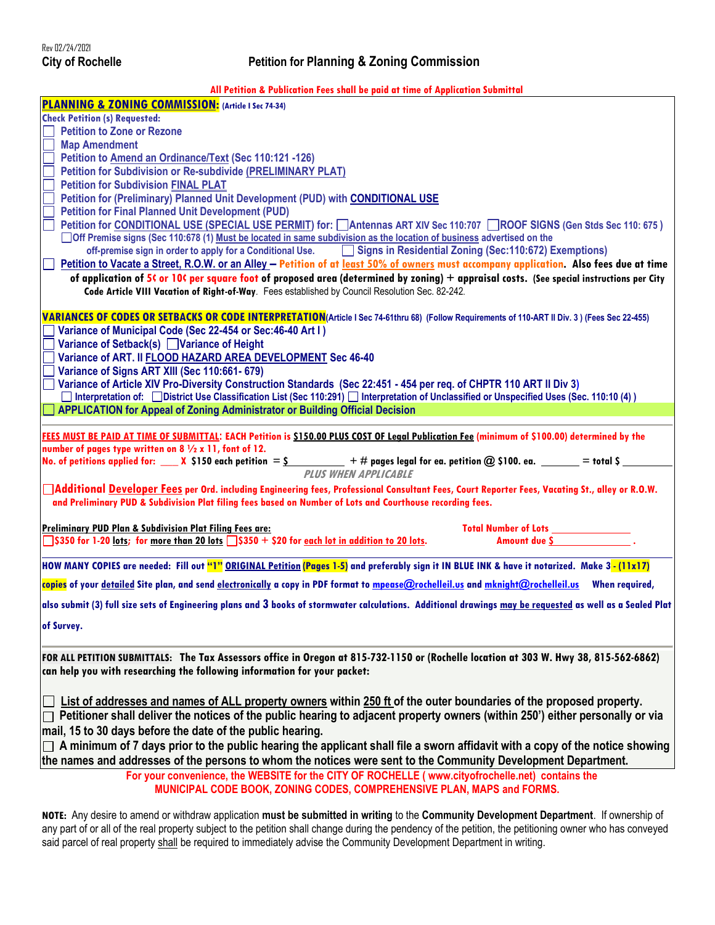**All Petition & Publication Fees shall be paid at time of Application Submittal**

| PLANNING & ZONING COMMISSION: (Article 1 Sec 74-34)                                                                                                                                                                                            |
|------------------------------------------------------------------------------------------------------------------------------------------------------------------------------------------------------------------------------------------------|
| <b>Check Petition (s) Requested:</b>                                                                                                                                                                                                           |
| <b>Petition to Zone or Rezone</b>                                                                                                                                                                                                              |
| <b>Map Amendment</b>                                                                                                                                                                                                                           |
| Petition to Amend an Ordinance/Text (Sec 110:121 -126)                                                                                                                                                                                         |
| <b>Petition for Subdivision or Re-subdivide (PRELIMINARY PLAT)</b>                                                                                                                                                                             |
| <b>Petition for Subdivision FINAL PLAT</b>                                                                                                                                                                                                     |
| Petition for (Preliminary) Planned Unit Development (PUD) with CONDITIONAL USE                                                                                                                                                                 |
| <b>Petition for Final Planned Unit Development (PUD)</b>                                                                                                                                                                                       |
| Petition for CONDITIONAL USE (SPECIAL USE PERMIT) for: Antennas ART XIV Sec 110:707 ROOF SIGNS (Gen Stds Sec 110:675)                                                                                                                          |
| □ Off Premise signs (Sec 110:678 (1) Must be located in same subdivision as the location of business advertised on the                                                                                                                         |
| off-premise sign in order to apply for a Conditional Use. Signs in Residential Zoning (Sec:110:672) Exemptions)                                                                                                                                |
| Petition to Vacate a Street, R.O.W. or an Alley - Petition of at least 50% of owners must accompany application. Also fees due at time                                                                                                         |
| of application of 5t or 10t per square foot of proposed area (determined by zoning) $+$ appraisal costs. (See special instructions per City<br>Code Article VIII Vacation of Right-of-Way. Fees established by Council Resolution Sec. 82-242. |
|                                                                                                                                                                                                                                                |
| VARIANCES OF CODES OR SETBACKS OR CODE INTERPRETATION(Article I Sec 74-61thru 68) (Follow Requirements of 110-ART II Div. 3) (Fees Sec 22-455)                                                                                                 |
| Variance of Municipal Code (Sec 22-454 or Sec: 46-40 Art I)                                                                                                                                                                                    |
| Variance of Setback(s) Variance of Height                                                                                                                                                                                                      |
| Variance of ART. II FLOOD HAZARD AREA DEVELOPMENT Sec 46-40                                                                                                                                                                                    |
| Variance of Signs ART XIII (Sec 110:661-679)                                                                                                                                                                                                   |
| Variance of Article XIV Pro-Diversity Construction Standards (Sec 22:451 - 454 per reg. of CHPTR 110 ART II Div 3)                                                                                                                             |
| □ Interpretation of: □ District Use Classification List (Sec 110:291) □ Interpretation of Unclassified or Unspecified Uses (Sec. 110:10 (4))                                                                                                   |
| <b>APPLICATION for Appeal of Zoning Administrator or Building Official Decision</b>                                                                                                                                                            |
|                                                                                                                                                                                                                                                |
| FEES MUST BE PAID AT TIME OF SUBMITTAL: EACH Petition is \$150.00 PLUS COST OF Legal Publication Fee (minimum of \$100.00) determined by the                                                                                                   |
| number of pages type written on $8\frac{1}{2} \times 11$ , font of 12.                                                                                                                                                                         |
|                                                                                                                                                                                                                                                |
| No. of petitions applied for: $\_\_\_$ X \$150 each petition = $\frac{\varsigma}{\varsigma}$ + # pages legal for ea. petition @ \$100. ea. $\_\_\_\_\_\_$ = total \$ $\_\_\_\_\_$                                                              |
| <b>PLUS WHEN APPLICABLE</b>                                                                                                                                                                                                                    |
| Additional Developer Fees per Ord. including Engineering fees, Professional Consultant Fees, Court Reporter Fees, Vacating St., alley or R.O.W.                                                                                                |
| and Preliminary PUD & Subdivision Plat filing fees based on Number of Lots and Courthouse recording fees.                                                                                                                                      |
|                                                                                                                                                                                                                                                |
| <b>Preliminary PUD Plan &amp; Subdivision Plat Filing Fees are:</b><br>Total Number of Lots ____________                                                                                                                                       |
| Amount due S <sub>2</sub> and T <sub>2</sub><br>$\frac{1}{3}$ \$350 for 1-20 lots; for more than 20 lots $\frac{1}{3}$ \$350 + \$20 for each lot in addition to 20 lots.                                                                       |
| HOW MANY COPIES are needed: Fill out "1" ORIGINAL Petition (Pages 1-5) and preferably sign it IN BLUE INK & have it notarized. Make 3-(11x17)                                                                                                  |
| copies of your detailed Site plan, and send electronically a copy in PDF format to mpease@rochelleil.vs and mknight@rochelleil.vs When required,                                                                                               |
|                                                                                                                                                                                                                                                |
| also submit (3) full size sets of Engineering plans and 3 books of stormwater calculations. Additional drawings may be requested as well as a Sealed Plat                                                                                      |
| of Survey.                                                                                                                                                                                                                                     |
|                                                                                                                                                                                                                                                |
| FOR ALL PETITION SUBMITTALS: The Tax Assessors office in Oregon at 815-732-1150 or (Rochelle location at 303 W. Hwy 38, 815-562-6862)                                                                                                          |
| can help you with researching the following information for your packet:                                                                                                                                                                       |
|                                                                                                                                                                                                                                                |
|                                                                                                                                                                                                                                                |
| List of addresses and names of ALL property owners within 250 ft of the outer boundaries of the proposed property.                                                                                                                             |
| Petitioner shall deliver the notices of the public hearing to adjacent property owners (within 250') either personally or via                                                                                                                  |
| mail, 15 to 30 days before the date of the public hearing.                                                                                                                                                                                     |
| A minimum of 7 days prior to the public hearing the applicant shall file a sworn affidavit with a copy of the notice showing                                                                                                                   |
| the names and addresses of the persons to whom the notices were sent to the Community Development Department.                                                                                                                                  |
| For your convenience, the WEBSITE for the CITY OF ROCHELLE (www.cityofrochelle.net) contains the                                                                                                                                               |
| MUNICIPAL CODE BOOK, ZONING CODES, COMPREHENSIVE PLAN, MAPS and FORMS.                                                                                                                                                                         |

**NOTE:** Any desire to amend or withdraw application **must be submitted in writing** to the **Community Development Department**. If ownership of any part of or all of the real property subject to the petition shall change during the pendency of the petition, the petitioning owner who has conveyed said parcel of real property shall be required to immediately advise the Community Development Department in writing.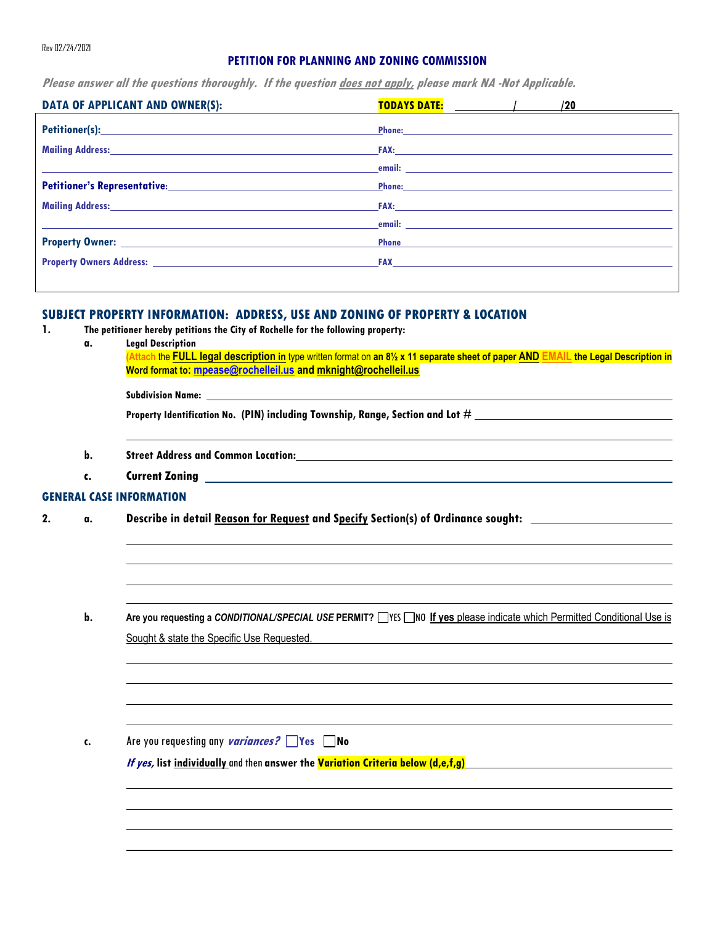### **PETITION FOR PLANNING AND ZONING COMMISSION**

**Please answer all the questions thoroughly. If the question does not apply, please mark NA -Not Applicable.** 

| Phone <b>Phone</b> | Phone: Phone Phone Phone Phone Phone Phone Phone Phone Phone Phone Phone Phone Phone Phone Phone Phone Phone Phone Phone Phone Phone Phone Phone Phone Phone Phone Phone Phone Phone Phone Phone Phone Phone Phone Phone Phone<br><b>Example 2008 Contract Contract Contract Contract Contract Contract Contract Contract Contract Contract Contract Contract Contract Contract Contract Contract Contract Contract Contract Contract Contract Contract Contract</b><br>Phone: <u>Phone: Andreas and American and American and American and American and American and American and American and American and American and American and American and American and American and American and American and </u><br><u>email: http://www.community.community.community.community.community.community.community.com</u> |
|--------------------|--------------------------------------------------------------------------------------------------------------------------------------------------------------------------------------------------------------------------------------------------------------------------------------------------------------------------------------------------------------------------------------------------------------------------------------------------------------------------------------------------------------------------------------------------------------------------------------------------------------------------------------------------------------------------------------------------------------------------------------------------------------------------------------------------------------------|

## **SUBJECT PROPERTY INFORMATION: ADDRESS, USE AND ZONING OF PROPERTY & LOCATION**

- **1. The petitioner hereby petitions the City of Rochelle for the following property:**
	- **a. Legal Description**

**(Attach** the **FULL legal description in** type written format on **an 8½ x 11 separate sheet of paper AND EMAIL the Legal Description in Word format to: [mpease@rochelleil.us](mailto:mpease@rochelleil.us) and mknight@rochelleil.us** 

**Subdivision Name:** 

**Property Identification No. (PIN) including Township, Range, Section and Lot #** 

- **b. Street Address and Common Location:**
- **c. Current Zoning**

#### **GENERAL CASE INFORMATION**

- **2. a. Describe in detail Reason for Request and Specify Section(s) of Ordinance sought:**
	- **b.** Are you requesting a *CONDITIONAL/SPECIAL USE* PERMIT? WES NO If yes please indicate which Permitted Conditional Use is Sought & state the Specific Use Requested.

**c.** Are you requesting any **variances? Yes No**

**If yes, list individually**and then **answer the Variation Criteria below (d,e,f,g)**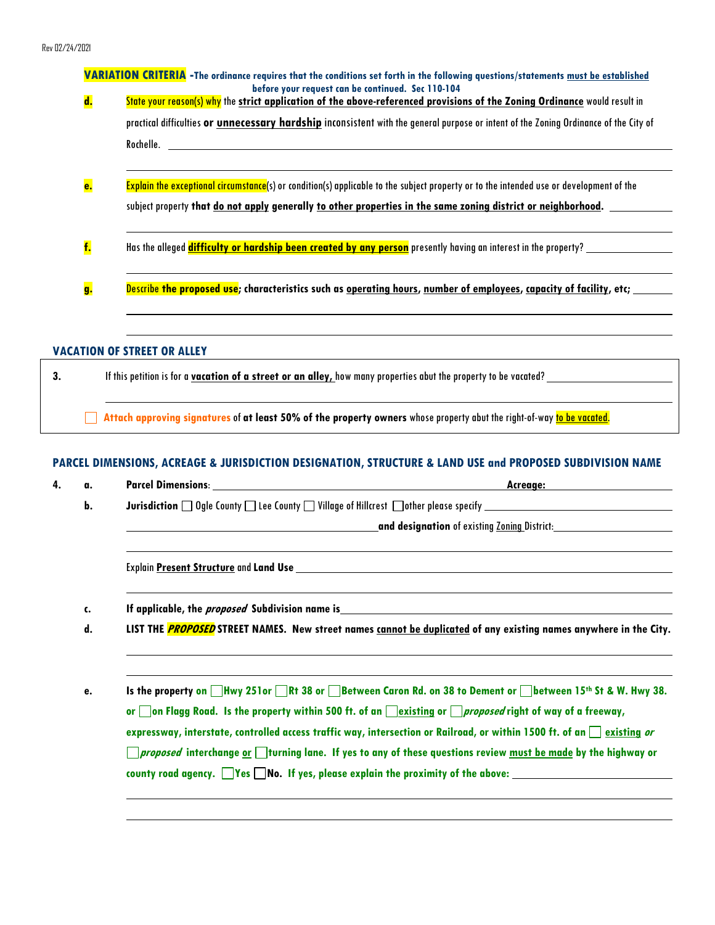|                | VARIATION CRITERIA -The ordinance requires that the conditions set forth in the following questions/statements must be established                                                                                                                                                                                                                                                                                                                               |  |  |  |
|----------------|------------------------------------------------------------------------------------------------------------------------------------------------------------------------------------------------------------------------------------------------------------------------------------------------------------------------------------------------------------------------------------------------------------------------------------------------------------------|--|--|--|
| $\mathbf{d}$ . | before your request can be continued. Sec 110-104<br>State your reason(s) why the strict application of the above-referenced provisions of the Zoning Ordinance would result in                                                                                                                                                                                                                                                                                  |  |  |  |
|                | practical difficulties or <i>unnecessary hardship</i> inconsistent with the general purpose or intent of the Zoning Ordinance of the City of                                                                                                                                                                                                                                                                                                                     |  |  |  |
|                |                                                                                                                                                                                                                                                                                                                                                                                                                                                                  |  |  |  |
| <b>e.</b>      | Explain the exceptional circumstance(s) or condition(s) applicable to the subject property or to the intended use or development of the                                                                                                                                                                                                                                                                                                                          |  |  |  |
|                | subject property that <u>do not apply</u> generally <u>to other properties in the same zoning district or neighborhood.</u>                                                                                                                                                                                                                                                                                                                                      |  |  |  |
| f.             | Has the alleged difficulty or hardship been created by any person presently having an interest in the property?                                                                                                                                                                                                                                                                                                                                                  |  |  |  |
| g.             | Describe the proposed use; characteristics such as <u>operating hours, number of employees, capacity of facility</u> , etc;                                                                                                                                                                                                                                                                                                                                      |  |  |  |
|                |                                                                                                                                                                                                                                                                                                                                                                                                                                                                  |  |  |  |
|                | <b>VACATION OF STREET OR ALLEY</b>                                                                                                                                                                                                                                                                                                                                                                                                                               |  |  |  |
|                |                                                                                                                                                                                                                                                                                                                                                                                                                                                                  |  |  |  |
|                | Attach approving signatures of at least 50% of the property owners whose property abut the right-of-way to be vacated.                                                                                                                                                                                                                                                                                                                                           |  |  |  |
|                |                                                                                                                                                                                                                                                                                                                                                                                                                                                                  |  |  |  |
| a.             | If this petition is for a <b>vacation of a street or an alley,</b> how many properties abut the property to be vacated?<br>PARCEL DIMENSIONS, ACREAGE & JURISDICTION DESIGNATION, STRUCTURE & LAND USE and PROPOSED SUBDIVISION NAME                                                                                                                                                                                                                             |  |  |  |
| b.             |                                                                                                                                                                                                                                                                                                                                                                                                                                                                  |  |  |  |
|                | Jurisdiction and Ogle County and Lee County and Village of Hillcrest and other please specify and the common subsequent of the country of the country of the country of the country of the country of the country of the count<br>and designation of existing Zoning District: University of the University Oracle of the Second Library and District Second Library and District Second Library and District Second Library and District Second Library and Dis |  |  |  |

**c. If applicable, the proposed Subdivision name is**

**d. LIST THE PROPOSED STREET NAMES. New street names cannot be duplicated of any existing names anywhere in the City.** 

**e.** Is the property on ■Hwy 251or ■Rt 38 or ■Between Caron Rd. on 38 to Dement or ■between 15<sup>th</sup> St & W. Hwy 38. or **on Flagg Road.** Is the property within 500 ft. of an **existing** or *proposed* right of way of a freeway, **expressway, interstate, controlled access traffic way, intersection or Railroad, or within 1500 ft. of an**  $\Box$  **existing or proposed interchange or turning lane. If yes to any of these questions review must be made by the highway or**  county road agency. **Wes** No. If yes, please explain the proximity of the above: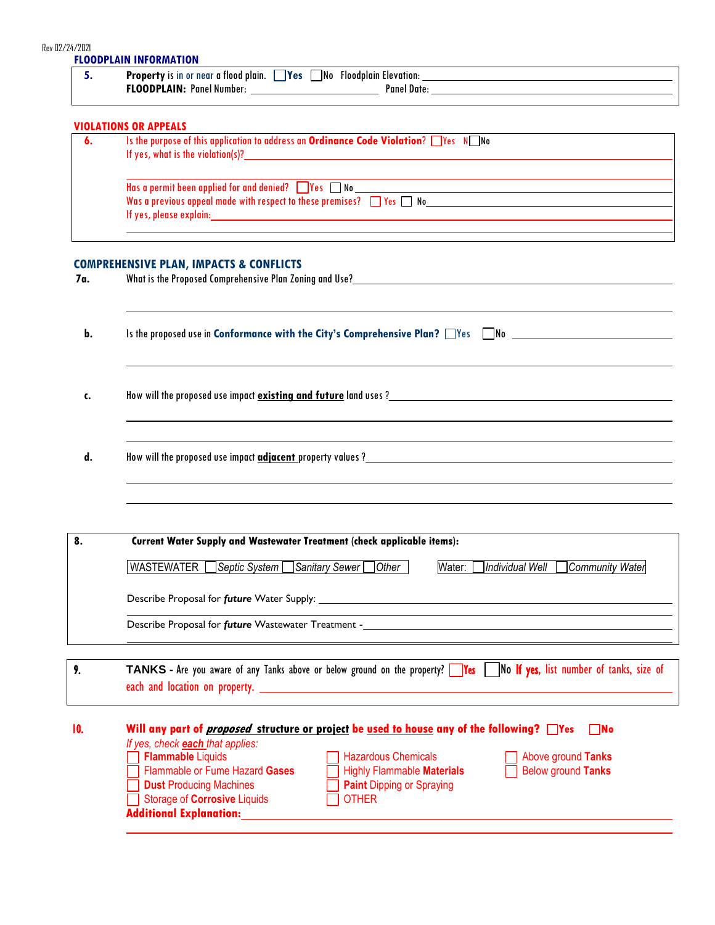| 5.  |                                                                                                                                                                                                                                                                                                                                     |
|-----|-------------------------------------------------------------------------------------------------------------------------------------------------------------------------------------------------------------------------------------------------------------------------------------------------------------------------------------|
|     | <b>VIOLATIONS OR APPEALS</b>                                                                                                                                                                                                                                                                                                        |
| 6.  | Is the purpose of this application to address an Ordinance Code Violation? Wes NUMo                                                                                                                                                                                                                                                 |
|     | $\overline{\text{Has}}$ a permit been applied for and denied? $\Box$ Yes $\Box$ No $\Box$ . The set of the set of the set of the set of the set of the set of the set of the set of the set of the set of the set of the set of the set of the s<br>Was a previous appeal made with respect to these premises? $\Box$ Yes $\Box$ No |
|     |                                                                                                                                                                                                                                                                                                                                     |
|     | <b>COMPREHENSIVE PLAN, IMPACTS &amp; CONFLICTS</b>                                                                                                                                                                                                                                                                                  |
| 7a. |                                                                                                                                                                                                                                                                                                                                     |
| b.  | Is the proposed use in Conformance with the City's Comprehensive Plan? Thes Thomas                                                                                                                                                                                                                                                  |
| c.  |                                                                                                                                                                                                                                                                                                                                     |
|     |                                                                                                                                                                                                                                                                                                                                     |
| d.  |                                                                                                                                                                                                                                                                                                                                     |
|     |                                                                                                                                                                                                                                                                                                                                     |
| 8.  | Current Water Supply and Wastewater Treatment (check applicable items):                                                                                                                                                                                                                                                             |
|     | WASTEWATER Septic System Sanitary Sewer Other   Water: Individual Well Community Water                                                                                                                                                                                                                                              |
|     |                                                                                                                                                                                                                                                                                                                                     |
|     |                                                                                                                                                                                                                                                                                                                                     |
| 9.  | TANKS - Are you aware of any Tanks above or below ground on the property?    Yes    No If yes, list number of tanks, size of                                                                                                                                                                                                        |

| Will any part of <i>proposed</i> structure or project be used to house any of the following? Thes |                                  | $\Box$ No                 |
|---------------------------------------------------------------------------------------------------|----------------------------------|---------------------------|
| If yes, check <b>each</b> that applies:                                                           |                                  |                           |
| Flammable Liquids                                                                                 | Hazardous Chemicals              | Above ground Tanks        |
| Flammable or Fume Hazard Gases                                                                    | Highly Flammable Materials       | <b>Below ground Tanks</b> |
| <b>Dust Producing Machines</b>                                                                    | <b>Paint Dipping or Spraying</b> |                           |
| Storage of <b>Corrosive</b> Liquids                                                               | $\Box$ other                     |                           |